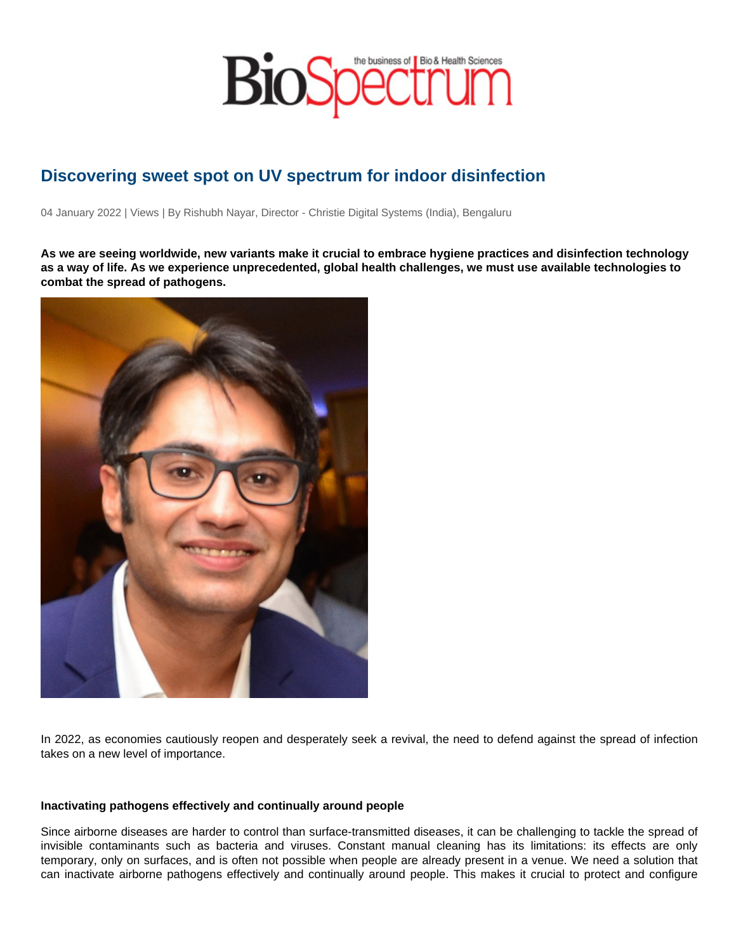## Discovering sweet spot on UV spectrum for indoor disinfection

04 January 2022 | Views | By Rishubh Nayar, Director - Christie Digital Systems (India), Bengaluru

As we are seeing worldwide, new variants make it crucial to embrace hygiene practices and disinfection technology as a way of life. As we experience unprecedented, global health challenges, we must use available technologies to combat the spread of pathogens.

In 2022, as economies cautiously reopen and desperately seek a revival, the need to defend against the spread of infection takes on a new level of importance.

Inactivating pathogens effectively and continually around people

Since airborne diseases are harder to control than surface-transmitted diseases, it can be challenging to tackle the spread of invisible contaminants such as bacteria and viruses. Constant manual cleaning has its limitations: its effects are only temporary, only on surfaces, and is often not possible when people are already present in a venue. We need a solution that can inactivate airborne pathogens effectively and continually around people. This makes it crucial to protect and configure